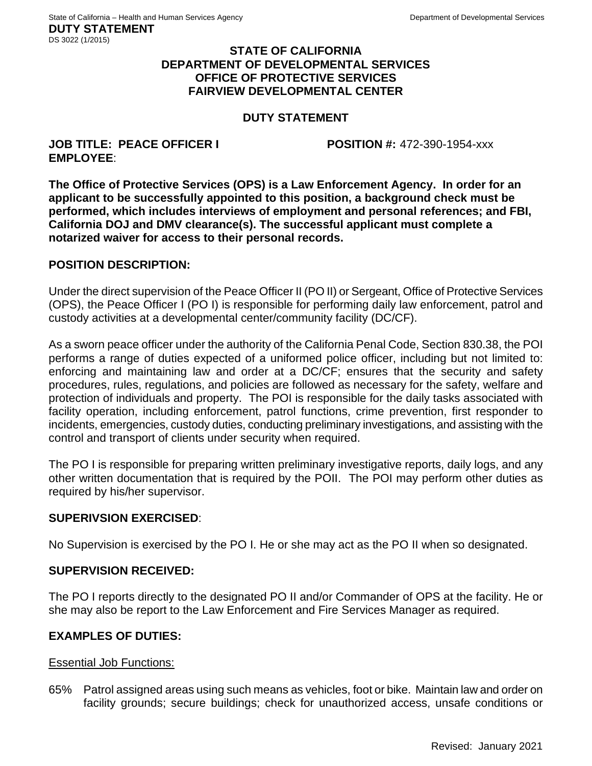## **STATE OF CALIFORNIA DEPARTMENT OF DEVELOPMENTAL SERVICES OFFICE OF PROTECTIVE SERVICES FAIRVIEW DEVELOPMENTAL CENTER**

# **DUTY STATEMENT**

#### **JOB TITLE: PEACE OFFICER I POSITION #:** 472-390-1954-xxx **EMPLOYEE**:

**The Office of Protective Services (OPS) is a Law Enforcement Agency. In order for an applicant to be successfully appointed to this position, a background check must be performed, which includes interviews of employment and personal references; and FBI, California DOJ and DMV clearance(s). The successful applicant must complete a notarized waiver for access to their personal records.**

## **POSITION DESCRIPTION:**

Under the direct supervision of the Peace Officer II (PO II) or Sergeant, Office of Protective Services (OPS), the Peace Officer I (PO I) is responsible for performing daily law enforcement, patrol and custody activities at a developmental center/community facility (DC/CF).

As a sworn peace officer under the authority of the California Penal Code, Section 830.38, the POI performs a range of duties expected of a uniformed police officer, including but not limited to: enforcing and maintaining law and order at a DC/CF; ensures that the security and safety procedures, rules, regulations, and policies are followed as necessary for the safety, welfare and protection of individuals and property. The POI is responsible for the daily tasks associated with facility operation, including enforcement, patrol functions, crime prevention, first responder to incidents, emergencies, custody duties, conducting preliminary investigations, and assisting with the control and transport of clients under security when required.

The PO I is responsible for preparing written preliminary investigative reports, daily logs, and any other written documentation that is required by the POII. The POI may perform other duties as required by his/her supervisor.

# **SUPERIVSION EXERCISED**:

No Supervision is exercised by the PO I. He or she may act as the PO II when so designated.

# **SUPERVISION RECEIVED:**

The PO I reports directly to the designated PO II and/or Commander of OPS at the facility. He or she may also be report to the Law Enforcement and Fire Services Manager as required.

#### **EXAMPLES OF DUTIES:**

#### Essential Job Functions:

65% Patrol assigned areas using such means as vehicles, foot or bike. Maintain law and order on facility grounds; secure buildings; check for unauthorized access, unsafe conditions or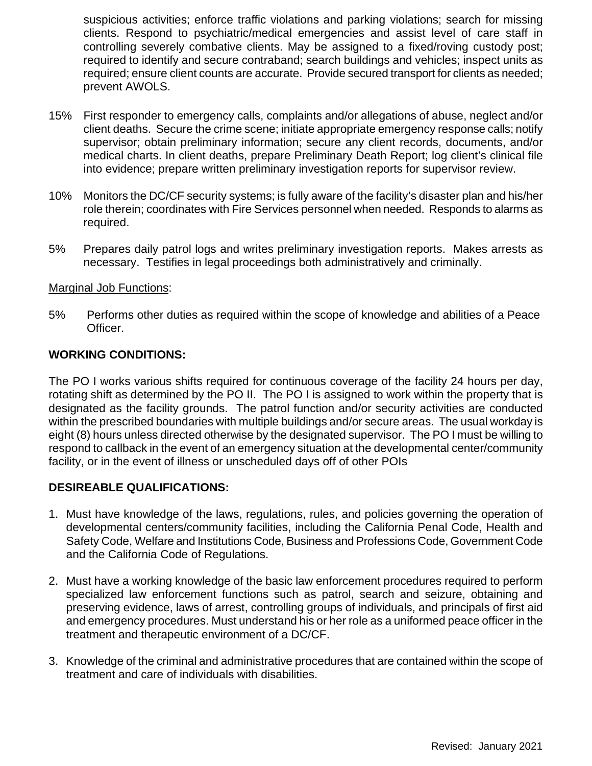suspicious activities; enforce traffic violations and parking violations; search for missing clients. Respond to psychiatric/medical emergencies and assist level of care staff in controlling severely combative clients. May be assigned to a fixed/roving custody post; required to identify and secure contraband; search buildings and vehicles; inspect units as required; ensure client counts are accurate. Provide secured transport for clients as needed; prevent AWOLS.

- 15% First responder to emergency calls, complaints and/or allegations of abuse, neglect and/or client deaths. Secure the crime scene; initiate appropriate emergency response calls; notify supervisor; obtain preliminary information; secure any client records, documents, and/or medical charts. In client deaths, prepare Preliminary Death Report; log client's clinical file into evidence; prepare written preliminary investigation reports for supervisor review.
- 10% Monitors the DC/CF security systems; is fully aware of the facility's disaster plan and his/her role therein; coordinates with Fire Services personnel when needed. Responds to alarms as required.
- 5% Prepares daily patrol logs and writes preliminary investigation reports. Makes arrests as necessary. Testifies in legal proceedings both administratively and criminally.

## Marginal Job Functions:

5% Performs other duties as required within the scope of knowledge and abilities of a Peace Officer.

# **WORKING CONDITIONS:**

The PO I works various shifts required for continuous coverage of the facility 24 hours per day, rotating shift as determined by the PO II. The PO I is assigned to work within the property that is designated as the facility grounds. The patrol function and/or security activities are conducted within the prescribed boundaries with multiple buildings and/or secure areas. The usual workday is eight (8) hours unless directed otherwise by the designated supervisor. The PO I must be willing to respond to callback in the event of an emergency situation at the developmental center/community facility, or in the event of illness or unscheduled days off of other POIs

# **DESIREABLE QUALIFICATIONS:**

- 1. Must have knowledge of the laws, regulations, rules, and policies governing the operation of developmental centers/community facilities, including the California Penal Code, Health and Safety Code, Welfare and Institutions Code, Business and Professions Code, Government Code and the California Code of Regulations.
- 2. Must have a working knowledge of the basic law enforcement procedures required to perform specialized law enforcement functions such as patrol, search and seizure, obtaining and preserving evidence, laws of arrest, controlling groups of individuals, and principals of first aid and emergency procedures. Must understand his or her role as a uniformed peace officer in the treatment and therapeutic environment of a DC/CF.
- 3. Knowledge of the criminal and administrative procedures that are contained within the scope of treatment and care of individuals with disabilities.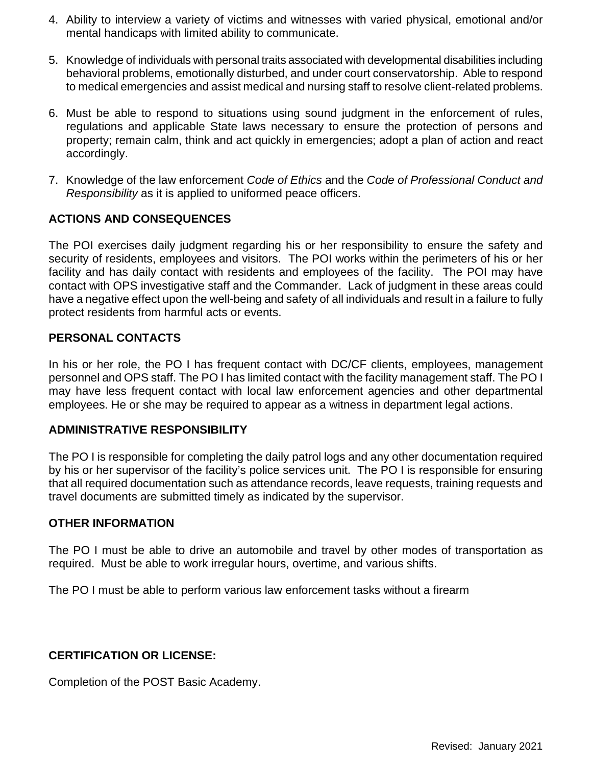- 4. Ability to interview a variety of victims and witnesses with varied physical, emotional and/or mental handicaps with limited ability to communicate.
- 5. Knowledge of individuals with personal traits associated with developmental disabilities including behavioral problems, emotionally disturbed, and under court conservatorship. Able to respond to medical emergencies and assist medical and nursing staff to resolve client-related problems.
- 6. Must be able to respond to situations using sound judgment in the enforcement of rules, regulations and applicable State laws necessary to ensure the protection of persons and property; remain calm, think and act quickly in emergencies; adopt a plan of action and react accordingly.
- 7. Knowledge of the law enforcement *Code of Ethics* and the *Code of Professional Conduct and Responsibility* as it is applied to uniformed peace officers.

# **ACTIONS AND CONSEQUENCES**

The POI exercises daily judgment regarding his or her responsibility to ensure the safety and security of residents, employees and visitors. The POI works within the perimeters of his or her facility and has daily contact with residents and employees of the facility. The POI may have contact with OPS investigative staff and the Commander. Lack of judgment in these areas could have a negative effect upon the well-being and safety of all individuals and result in a failure to fully protect residents from harmful acts or events.

# **PERSONAL CONTACTS**

In his or her role, the PO I has frequent contact with DC/CF clients, employees, management personnel and OPS staff. The PO I has limited contact with the facility management staff. The PO I may have less frequent contact with local law enforcement agencies and other departmental employees. He or she may be required to appear as a witness in department legal actions.

# **ADMINISTRATIVE RESPONSIBILITY**

The PO I is responsible for completing the daily patrol logs and any other documentation required by his or her supervisor of the facility's police services unit. The PO I is responsible for ensuring that all required documentation such as attendance records, leave requests, training requests and travel documents are submitted timely as indicated by the supervisor.

# **OTHER INFORMATION**

The PO I must be able to drive an automobile and travel by other modes of transportation as required. Must be able to work irregular hours, overtime, and various shifts.

The PO I must be able to perform various law enforcement tasks without a firearm

# **CERTIFICATION OR LICENSE:**

Completion of the POST Basic Academy.